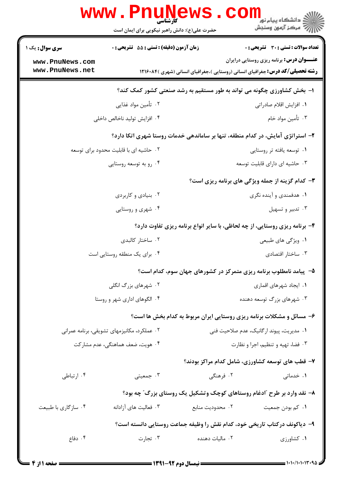|                                        | www.PnuNews                                                                    |                                          | د دانشڪاه پيام نور<br>(7 مرڪز آزمون وسنڊش                                            |
|----------------------------------------|--------------------------------------------------------------------------------|------------------------------------------|--------------------------------------------------------------------------------------|
|                                        | حضرت علی(ع): دانش راهبر نیکویی برای ایمان است                                  |                                          |                                                                                      |
| سری سوال: یک ۱                         | زمان آزمون (دقیقه) : تستی : 55 آتشریحی : 0                                     |                                          | <b>تعداد سوالات : تستی : 30 ٪ تشریحی : 0</b>                                         |
| www.PnuNews.com<br>www.PnuNews.net     |                                                                                |                                          | <b>عنــــوان درس:</b> برنامه ریزی روستایی درایران                                    |
|                                        |                                                                                |                                          | <b>رشته تحصیلی/کد درس:</b> جغرافیای انسانی (روستایی )،جغرافیای انسانی (شهری )۱۲۱۶۰۸۴ |
|                                        |                                                                                |                                          | ۱- بخش کشاورزی چگونه می تواند به طور مستقیم به رشد صنعتی کشور کمک کند؟               |
|                                        | ۰۲ تأمین مواد غذایی                                                            |                                          | ۰۱ افزایش اقلام صادراتی                                                              |
|                                        | ۰۴ افزايش توليد ناخالص داخلي                                                   |                                          | ۰۳ تأمین مواد خام                                                                    |
|                                        | ۲- استراتژی آمایش، در کدام منطقه، تنها بر ساماندهی خدمات روستا شهری اتکا دارد؟ |                                          |                                                                                      |
| ۰۲ حاشیه ای با قابلیت محدود برای توسعه |                                                                                | ۰۱ توسعه یافته تر روستایی                |                                                                                      |
|                                        | ۰۴ رو به توسعه روستایی                                                         |                                          | ۰۳ حاشیه ای دارای قابلیت توسعه                                                       |
|                                        |                                                                                |                                          | <b>۳</b> - کدام گزینه از جمله ویژگی های برنامه ریزی است؟                             |
|                                        | ۰۲ بنیادی و کاربردی                                                            |                                          | ۰۱ هدفمندی و آینده نگری                                                              |
|                                        | ۰۴ شهری و روستایی                                                              |                                          | ۰۳ تدبیر و تسهیل                                                                     |
|                                        |                                                                                |                                          | ۴- برنامه ریزی روستایی، از چه لحاظی، با سایر انواع برنامه ریزی تفاوت دارد؟           |
|                                        | ۰۲ ساختار کالبدی                                                               |                                          | ۰۱ ویژگی های طبیعی                                                                   |
|                                        | ۰۴ برای یک منطقه روستایی است                                                   |                                          | ۰۳ ساختار اقتصادی                                                                    |
|                                        |                                                                                |                                          | ۵– پیامد نامطلوب برنامه ریزی متمرکز در کشورهای جهان سوم، کدام است؟                   |
| ۰۲ شهرهای بزرگ انگلی                   |                                                                                | ٠١. ايجاد شهرهاي اقماري                  |                                                                                      |
| ۰۴ الگوهای اداری شهر و روستا           |                                                                                | ۰۳ شهرهای بزرگ توسعه دهنده               |                                                                                      |
|                                        |                                                                                |                                          | ۶- مسائل و مشکلات برنامه ریزی روستایی ایران مربوط به کدام بخش ها است؟                |
|                                        | ۰۲ عملکرد، مکانیزمهای تشویقی، برنامه عمرانی                                    | ٠١ مديريت، پيوند اركانيک، عدم صلاحيت فني |                                                                                      |
|                                        | ۰۴ هويت، ضعف هماهنگي، عدم مشاركت                                               | ٠٣ فضا، تهيه وتنظيم، اجرا ونظارت         |                                                                                      |
|                                        |                                                                                |                                          | ۷– قطب های توسعه کشاورزی، شامل کدام مراکز بودند؟                                     |
| ۰۴ ارتباطی                             | ۰۳ جمعیتی                                                                      | ۰۲ فرهنگی                                | ۰۱ خدماتی                                                                            |
|                                        |                                                                                |                                          | ۸– نقد وارد بر طرح "ادغام روستاهای کوچک وتشکیل یک روستای بزرگ″ چه بود؟               |
| ۰۴ سازگاري با طبيعت                    | ۰۳ فعالیت های آزادانه                                                          | ٢. محدوديت منابع                         | ۰۱ کم بودن جمعیت                                                                     |
|                                        |                                                                                |                                          |                                                                                      |
|                                        |                                                                                |                                          | ۹– دیاکونف درکتاب تاریخی خود، کدام نقش را وظیفه جماعت روستایی دانسته است؟            |
| ۰۴ دفاع                                | ۰۳ تجارت                                                                       | ۰۲ مالیات دهنده                          | ۰۱ کشاورزی                                                                           |
|                                        |                                                                                |                                          |                                                                                      |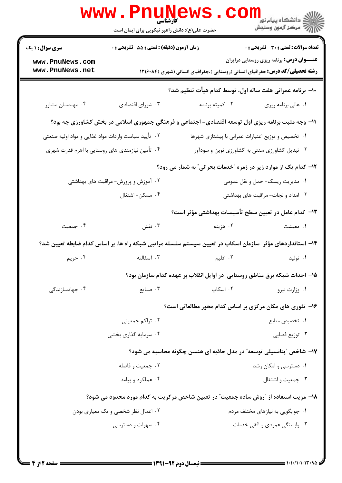|                                                                                                          | <b>WWW.PNUNG</b><br>حضرت علی(ع): دانش راهبر نیکویی برای ایمان است |                                                                                                           | راد دانشگاه پيام نور <mark>− .</mark><br>ا∛ مرکز آزمون وسنجش |  |  |
|----------------------------------------------------------------------------------------------------------|-------------------------------------------------------------------|-----------------------------------------------------------------------------------------------------------|--------------------------------------------------------------|--|--|
| <b>سری سوال : ۱ یک</b>                                                                                   | <b>زمان آزمون (دقیقه) : تستی : 55 تشریحی : 0</b>                  |                                                                                                           | <b>تعداد سوالات : تستی : 30 ٪ تشریحی : 0</b>                 |  |  |
| www.PnuNews.com<br>www.PnuNews.net                                                                       |                                                                   | <b>رشته تحصیلی/کد درس:</b> جغرافیای انسانی (روستایی )،جغرافیای انسانی (شهری )۱۲۱۶۰۸۴                      | <b>عنـــوان درس:</b> برنامه ریزی روستایی درایران             |  |  |
|                                                                                                          |                                                                   | ∙ا− برنامه عمرانی هفت ساله اول، توسط کدام هیأت تنظیم شد؟                                                  |                                                              |  |  |
| ۰۴ مهندسان مشاور                                                                                         | ۰۳ شورای اقتصادی                                                  | ۰۲ کمیته برنامه                                                                                           | ٠١ عالى برنامه ريزي                                          |  |  |
| 11- وجه مثبت برنامه ریزی اول توسعه اقتصادی- اجتماعی و فرهنگی جمهوری اسلامی در بخش کشاورزی چه بود؟        |                                                                   |                                                                                                           |                                                              |  |  |
| ۲. تأیید سیاست واردات مواد غذایی و مواد اولیه صنعتی<br>٠١ تخصيص و توزيع اعتبارات عمراني با پيشتازي شهرها |                                                                   |                                                                                                           |                                                              |  |  |
| ۰۴ تأمین نیازمندی های روستایی با اهرم قدرت شهری                                                          |                                                                   | ۰۳ تبدیل کشاورزی سنتی به کشاورزی نوین و سودآور                                                            |                                                              |  |  |
| 12- کدام یک از موارد زیر در زمره "خدمات بحرانی" به شمار می رود؟                                          |                                                                   |                                                                                                           |                                                              |  |  |
|                                                                                                          | ۰۲ آموزش و پرورش- مراقبت های بهداشتی                              |                                                                                                           | ۰۱ مدیریت ریسک- حمل و نقل عمومی                              |  |  |
|                                                                                                          | ۰۴ مسکن-اشتغال                                                    |                                                                                                           | ۰۳ امداد و نجات- مراقبت های بهداشتی                          |  |  |
|                                                                                                          |                                                                   | ۱۳– کدام عامل در تعیین سطح تأسیسات بهداشتی مؤثر است؟                                                      |                                                              |  |  |
| ۰۴ جمعیت                                                                                                 | ۰۳ نقش                                                            | ۰۲ هزينه                                                                                                  | ۰۱ معیشت                                                     |  |  |
|                                                                                                          |                                                                   | ۱۴– استانداردهای مؤثر ًسازمان اسکاپ در تعیین سیستم سلسله مراتبی شبکه راه ها، بر اساس کدام ضابطه تعیین شد؟ |                                                              |  |  |
| ۰۴ حريم                                                                                                  | ۰۳ آسفالته                                                        | ۲. اقلیم                                                                                                  | ۰۱ تولید                                                     |  |  |
|                                                                                                          |                                                                   | ۱۵– احداث شبکه برق مناطق روستایی در اوایل انقلاب بر عهده کدام سازمان بود؟                                 |                                                              |  |  |
| ۰۴ جهادسازندگی                                                                                           | ۰۳ صنایع                                                          | ۲. اسکاپ                                                                                                  | ۰۱ وزارت نيرو                                                |  |  |
|                                                                                                          |                                                                   | ۱۶- تئوری های مکان مرکزی بر اساس کدام محور مطالعاتی است؟                                                  |                                                              |  |  |
|                                                                                                          | ۰۲ تراکم جمعیتی                                                   |                                                                                                           | ٠١. تخصيص منابع                                              |  |  |
|                                                                                                          | ۰۴ سرمایه گذاری بخشی                                              | ۰۳ توزیع فضایی                                                                                            |                                                              |  |  |
|                                                                                                          |                                                                   | ۱۷- شاخص "پتانسیلی توسعه" در مدل جاذبه ای هنسن چگونه محاسبه می شود؟                                       |                                                              |  |  |
| ۰۲ جمعیت و فاصله                                                                                         |                                                                   | ۰۱ دسترسی و امکان رشد                                                                                     |                                                              |  |  |
|                                                                                                          | ۰۴ عملکرد و پیامد                                                 |                                                                                                           | ۰۳ جمعیت و اشتغال                                            |  |  |
|                                                                                                          |                                                                   | 18– مزیت استفاده از ″روش ساده جمعیت″ در تعیین شاخص مرکزیت به کدام مورد محدود می شود؟                      |                                                              |  |  |
| ۰۲ اعمال نظر شخصی و تک معیاری بودن                                                                       |                                                                   |                                                                                                           | ۰۱ جوابگويي به نيازهاي مختلف مردم                            |  |  |
| ۰۴ سهولت و دسترسی                                                                                        |                                                                   |                                                                                                           | ۰۳ وابستگی عمودی و افقی خدمات                                |  |  |
|                                                                                                          |                                                                   |                                                                                                           |                                                              |  |  |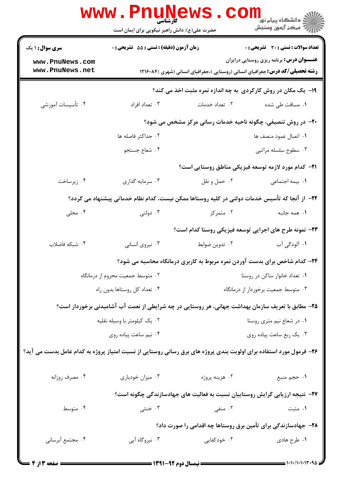|                                                                                                                    | <b>WWW.PNUNEWS</b><br><b>کارشناسی</b><br>حضرت علی(ع): دانش راهبر نیکویی برای ایمان است | COI                                                                                               | الاد دانشگاه پيام نور <mark>- -</mark><br>     <br> |
|--------------------------------------------------------------------------------------------------------------------|----------------------------------------------------------------------------------------|---------------------------------------------------------------------------------------------------|-----------------------------------------------------|
| <b>سری سوال : ۱ یک</b>                                                                                             | زمان آزمون (دقیقه) : تستی : 55 گشریحی : 0                                              |                                                                                                   | <b>تعداد سوالات : تستی : 30 ٪ تشریحی : 0</b>        |
| www.PnuNews.com                                                                                                    |                                                                                        |                                                                                                   | <b>عنــــوان درس:</b> برنامه ریزی روستایی درایران   |
| www.PnuNews.net                                                                                                    |                                                                                        | <b>رشته تحصیلی/کد درس:</b> جغرافیای انسانی (روستایی )،جغرافیای انسانی (شهری )۱۲۱۶۰۸۴              |                                                     |
|                                                                                                                    |                                                                                        | ۱۹- یک مکان در روش کارکردی به چه اندازه نمره مثبت اخذ می کند؟                                     |                                                     |
| ۰۴ تأسیسات آموزشی                                                                                                  | ۰۳ تعداد افراد                                                                         | ۰۲ تعداد خدمات                                                                                    | ۰۱ مسافت طی شده                                     |
|                                                                                                                    |                                                                                        | <b>۲۰</b> - در روش تنصیفی، چگونه ناحیه خدمات رسانی مرکز مشخص می شود؟                              |                                                     |
|                                                                                                                    | ۰۲ حداکثر فاصله ها                                                                     |                                                                                                   | ٠١. اتصال عمود منصف ها                              |
|                                                                                                                    | ۰۴ شعاع جستجو                                                                          |                                                                                                   | ۰۳ سطوح سلسله مراتبي                                |
|                                                                                                                    |                                                                                        | <b>۲۱</b> – کدام مورد لازمه توسعه فیزیکی مناطق روستایی است؟                                       |                                                     |
| ۰۴ زیرساخت                                                                                                         | ۰۳ سرمایه گذاری                                                                        | ۰۲ حمل و نقل                                                                                      | ٠١. بيمه اجتماعي                                    |
|                                                                                                                    |                                                                                        | ۲۲– از آنجا که تأسیس خدمات دولتی در کلیه روستاها ممکن نیست، کدام نظام خدماتی پیشنهاد می گردد؟     |                                                     |
| ۰۴ محلی                                                                                                            | ۰۳ دولتی                                                                               | ۰۲ متمرکز                                                                                         | ٠١ همه جانبه                                        |
|                                                                                                                    |                                                                                        | ۲۳- نمونه طرح های اجرایی توسعه فیزیکی روستا کدام است؟                                             |                                                     |
| ۰۴ شبکه فاضلاب                                                                                                     | ۰۳ نیروی انسانی                                                                        | ۰۲ تدوین ضوابط                                                                                    | ١. آلودگی آب                                        |
|                                                                                                                    |                                                                                        | ۲۴- کدام شاخص برای بدست آوردن نمره مربوط به کاربری درمانگاه محاسبه می شود؟                        |                                                     |
| ۰۲ متوسط جمعیت محروم از درمانگاه                                                                                   |                                                                                        | ٠١ تعداد خانوار ساكن در روستا                                                                     |                                                     |
| ۰۴ تعداد کل روستاها بدون راه                                                                                       |                                                                                        |                                                                                                   | ۰۳ متوسط جمعیت برخوردار از درمانگاه                 |
|                                                                                                                    |                                                                                        | ۲۵– مطابق با تعریف سازمان بهداشت جهانی، هر روستایی در چه شرایطی از نعمت آب آشامیدنی برخوردار است؟ |                                                     |
|                                                                                                                    | ۰۲ یک کیلومتر با وسیله نقلیه                                                           | ٠١ در شعاع نيم مترى روستا                                                                         |                                                     |
|                                                                                                                    | ۰۴ نیم ساعت پیاده روی                                                                  |                                                                                                   | ۰۳ يک ربع ساعت پياده روي                            |
| ۲۶– فرمول مورد استفاده برای اولویت بندی پروژه های برق رسانی روستایی از نسبت امتیاز پروژه به کدام عامل بدست می آید؟ |                                                                                        |                                                                                                   |                                                     |
| ۰۴ مصرف روزانه                                                                                                     | ۰۳ میزان خودیاری                                                                       | ۰۲ هزینه پروژه                                                                                    | ١. حجم منبع                                         |
|                                                                                                                    |                                                                                        | ۲۷– نتیجه ارزیابی گرایش روستاییان نسبت به فعالیت های جهادسازندگی چگونه است؟                       |                                                     |
| ۰۴ متوسط                                                                                                           | ۰۳ خنثی                                                                                | ۲. منفی                                                                                           | ۰۱ مثبت                                             |
|                                                                                                                    |                                                                                        | ۲۸- جهادسازندگی برای تأمین برق روستاها چه اقدامی را صورت داد؟                                     |                                                     |
| ۰۴ مجتمع أبرساني                                                                                                   | ۰۳ نیروگاه آبی                                                                         | ۰۲ خودکفایی                                                                                       | ۰۱ طرح هادي                                         |
| = 4 i 3 سنحه 13 m                                                                                                  |                                                                                        |                                                                                                   |                                                     |